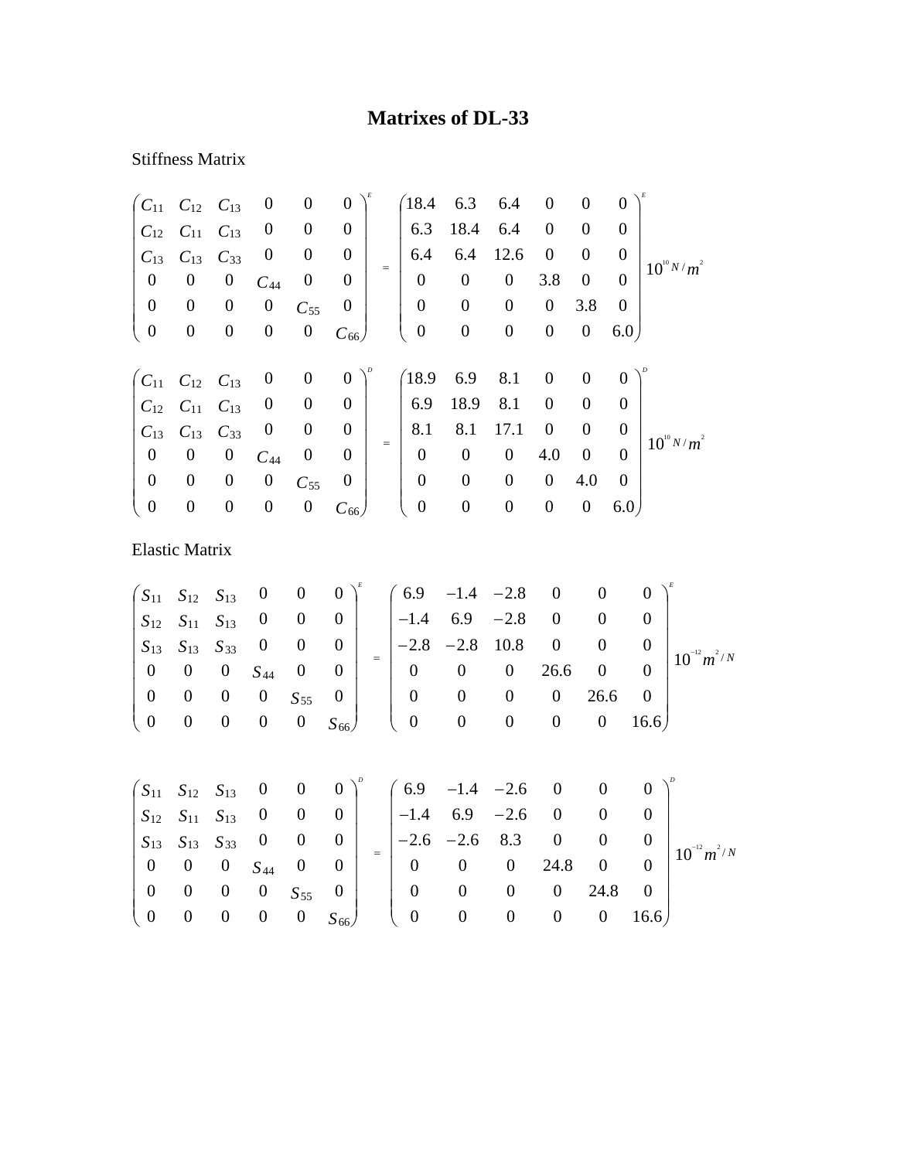## **Matrixes of DL-33**

## Stiffness Matrix

| $C_{11}$                        | $C_{12}$                    | $C_{13}$           | $\boldsymbol{0}$ | $\boldsymbol{0}$ | $\boldsymbol{0}$                            | (18.4)                                                   | 6.3              | 6.4              | $\boldsymbol{0}$ | $\boldsymbol{0}$ | $\boldsymbol{0}$ |                  |
|---------------------------------|-----------------------------|--------------------|------------------|------------------|---------------------------------------------|----------------------------------------------------------|------------------|------------------|------------------|------------------|------------------|------------------|
| $C_{12}$                        | $C_{11}$                    | $C_{13}$           | $\boldsymbol{0}$ | $\boldsymbol{0}$ | $\boldsymbol{0}$                            | 6.3                                                      | 18.4             | 6.4              | $\boldsymbol{0}$ | $\boldsymbol{0}$ | $\overline{0}$   |                  |
| $C_{13}$                        | $C_{13}$                    | $C_{33}$           | $\boldsymbol{0}$ | $\boldsymbol{0}$ | $\overline{0}$                              | 6.4<br>$=$ $\,$                                          | 6.4              | 12.6             | $\boldsymbol{0}$ | $\boldsymbol{0}$ | $\boldsymbol{0}$ | $10^{10} N/m^2$  |
| $\boldsymbol{0}$                | $\boldsymbol{0}$            | $\boldsymbol{0}$   | $C_{44}$         | $\boldsymbol{0}$ | $\overline{0}$                              | $\boldsymbol{0}$                                         | $\boldsymbol{0}$ | $\boldsymbol{0}$ | 3.8              | $\boldsymbol{0}$ | $\overline{0}$   |                  |
| $\boldsymbol{0}$                | $\boldsymbol{0}$            | $\boldsymbol{0}$   | $\boldsymbol{0}$ | $C_{55}$         | $\boldsymbol{0}$                            | $\boldsymbol{0}$                                         | $\boldsymbol{0}$ | $\boldsymbol{0}$ | $\boldsymbol{0}$ | 3.8              | $\mathbf{0}$     |                  |
| $\boldsymbol{0}$                | $\boldsymbol{0}$            | $\boldsymbol{0}$   | $\boldsymbol{0}$ | $\boldsymbol{0}$ | $C_{66}$                                    | $\boldsymbol{0}$                                         | $\boldsymbol{0}$ | $\boldsymbol{0}$ | $\boldsymbol{0}$ | $\boldsymbol{0}$ | 6.0)             |                  |
| $\int C_{11}$                   | $C_{12}$                    | $C_{13}$           | $\boldsymbol{0}$ | $\boldsymbol{0}$ | $\overline{0}$                              | (18.9)                                                   | 6.9              | 8.1              | $\boldsymbol{0}$ | $\boldsymbol{0}$ | $\overline{0}$   |                  |
| $C_{12}$                        | $C_{11}$                    | $C_{13}$           | $\boldsymbol{0}$ | $\boldsymbol{0}$ | $\boldsymbol{0}$                            | 6.9                                                      | 18.9             | 8.1              | $\boldsymbol{0}$ | $\boldsymbol{0}$ | $\overline{0}$   |                  |
| $C_{13}$                        | $C_{13}$                    | $C_{33}$           | $\boldsymbol{0}$ | $\boldsymbol{0}$ | $\overline{0}$                              | 8.1                                                      | 8.1              | 17.1             | $\boldsymbol{0}$ | $\boldsymbol{0}$ | $\boldsymbol{0}$ |                  |
| $\overline{0}$                  | $\boldsymbol{0}$            | $\boldsymbol{0}$   | $C_{44}$         | $\boldsymbol{0}$ | $\overline{0}$                              | $=$<br>$\boldsymbol{0}$                                  | $\boldsymbol{0}$ | $\boldsymbol{0}$ | 4.0              | $\boldsymbol{0}$ | $\overline{0}$   | $10^{10} N/m^2$  |
| $\mathbf{0}$                    | $\boldsymbol{0}$            | $\boldsymbol{0}$   | $\boldsymbol{0}$ | $C_{55}$         | $\mathbf{0}$                                | $\overline{0}$                                           | $\boldsymbol{0}$ | $\boldsymbol{0}$ | $\boldsymbol{0}$ | 4.0              | $\mathbf{0}$     |                  |
| $\overline{0}$                  | $\boldsymbol{0}$            | $\boldsymbol{0}$   | $\boldsymbol{0}$ | $\boldsymbol{0}$ | $C_{66}$                                    | $\overline{0}$                                           | $\boldsymbol{0}$ | $\boldsymbol{0}$ | $\boldsymbol{0}$ | $\boldsymbol{0}$ | 6.0              |                  |
| <b>Elastic Matrix</b>           |                             |                    |                  |                  |                                             |                                                          |                  |                  |                  |                  |                  |                  |
| $\int S_{11}$                   | $\mathcal{S}_{12}$          | $S_{13}$           | $\boldsymbol{0}$ | $\boldsymbol{0}$ | $\overline{0}$                              | (6.9)                                                    | $-1.4$           | $-2.8$           | $\boldsymbol{0}$ | $\boldsymbol{0}$ | $\overline{0}$   |                  |
| $S_{12}$                        | $\sqrt{S_{11}}$             | $S_{13}$           | $\boldsymbol{0}$ | $\boldsymbol{0}$ | $\overline{0}$                              | $-1.4$                                                   | 6.9              | $-2.8$           | $\boldsymbol{0}$ | $\boldsymbol{0}$ | $\boldsymbol{0}$ |                  |
| $S_{13}$                        | $S_{13}$                    | $S_{33}$           | $\boldsymbol{0}$ | $\boldsymbol{0}$ | $\begin{array}{c c} 0 & \\ 0 & \end{array}$ | $-2.8$ $-2.3$<br>0 0                                     | $-2.8$           | 10.8             | $\boldsymbol{0}$ | $\boldsymbol{0}$ | $\boldsymbol{0}$ |                  |
| $\boldsymbol{0}$                | $\boldsymbol{0}$            | $\boldsymbol{0}$   | $S_{44}$         | $\boldsymbol{0}$ |                                             |                                                          |                  | $\boldsymbol{0}$ | 26.6             | $\boldsymbol{0}$ | $\boldsymbol{0}$ | $10^{-12} m^2/N$ |
| $\boldsymbol{0}$                | $\boldsymbol{0}$            | $\boldsymbol{0}$   | $\boldsymbol{0}$ | $S_{55}$         | $\boldsymbol{0}$                            | $\overline{0}$                                           | $\overline{0}$   | $\boldsymbol{0}$ | $\boldsymbol{0}$ | 26.6             | $\boldsymbol{0}$ |                  |
| $\boldsymbol{0}$                | $\boldsymbol{0}$            | $\boldsymbol{0}$   | $\boldsymbol{0}$ | $\boldsymbol{0}$ | $S_{66}$                                    | $\overline{0}$                                           | $\boldsymbol{0}$ | $\boldsymbol{0}$ | $\boldsymbol{0}$ | $\boldsymbol{0}$ | 16.6)            |                  |
|                                 |                             |                    | $\boldsymbol{0}$ | $\overline{0}$   |                                             |                                                          |                  | $-2.6$           | $\boldsymbol{0}$ | $\boldsymbol{0}$ | 0                |                  |
| $S_{11}$<br>$\mathfrak{S}_{12}$ | $S_{12}$<br>$\sqrt{S_{11}}$ | $S_{13}$           | $\boldsymbol{0}$ | $\boldsymbol{0}$ | $\begin{bmatrix} 0 \\ 0 \end{bmatrix}^p$    | $\begin{pmatrix} 6.9 & -1.4 \\ -1.4 & 6.9 \end{pmatrix}$ |                  | $-2.6$           | $\boldsymbol{0}$ | $\boldsymbol{0}$ | $\overline{0}$   |                  |
|                                 |                             | $\mathcal{S}_{13}$ |                  |                  |                                             |                                                          |                  |                  |                  |                  |                  |                  |

|  | $\sim$ $\sim$                                             |                                                                                                     |            |  |                                                                                   |  |      |                 |                  |
|--|-----------------------------------------------------------|-----------------------------------------------------------------------------------------------------|------------|--|-----------------------------------------------------------------------------------|--|------|-----------------|------------------|
|  |                                                           |                                                                                                     |            |  |                                                                                   |  |      |                 | $ 10^{-12}m^2/N$ |
|  |                                                           | $\begin{vmatrix} S_{13} & S_{13} & S_{33} & 0 & 0 & 0 \ 0 & 0 & 0 & S_{44} & 0 & 0 \end{vmatrix}$ = |            |  | $\begin{vmatrix} -2.6 & -2.6 & 8.3 & 0 & 0 \\ 0 & 0 & 24.8 & 0 & 0 \end{vmatrix}$ |  |      |                 |                  |
|  | $\begin{array}{ ccc } 0 & 0 & 0 \\ 0 & 0 & 0 \end{array}$ | $\overline{\phantom{0}}$                                                                            | $S_{55}$ 0 |  |                                                                                   |  | 24.8 |                 |                  |
|  |                                                           |                                                                                                     | 0 $S_{66}$ |  |                                                                                   |  |      | $0 \quad 16.6)$ |                  |